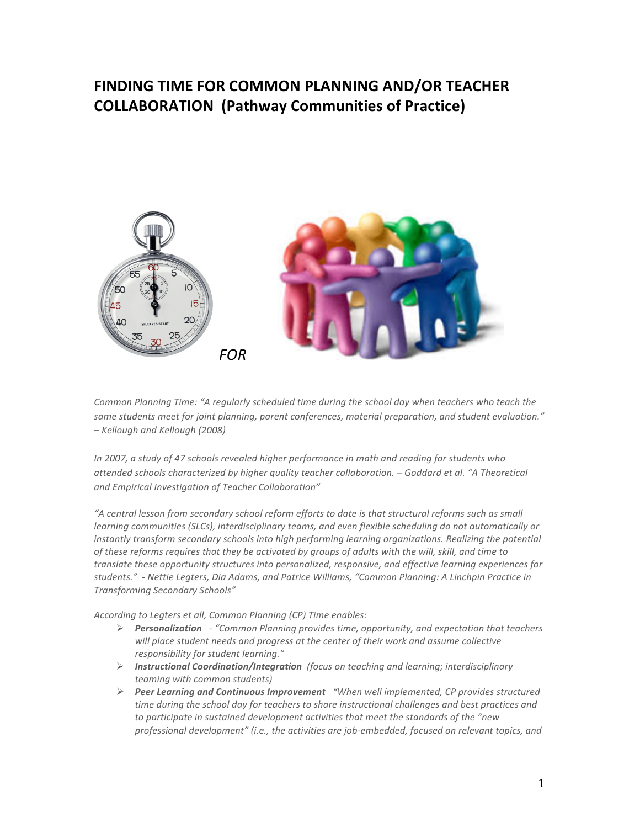# FINDING TIME FOR COMMON PLANNING AND/OR TEACHER **COLLABORATION (Pathway Communities of Practice)**



Common Planning Time: "A regularly scheduled time during the school day when teachers who teach the same students meet for joint planning, parent conferences, material preparation, and student evaluation." *– Kellough\$and\$Kellough\$(2008)*

*In 2007, a study of 47 schools revealed higher performance in math and reading for students who* attended schools characterized by higher quality teacher collaboration. – Goddard et al. "A Theoretical and Empirical Investigation of Teacher Collaboration"

*"A\$central\$lesson\$from\$secondary\$school\$reform\$efforts\$to\$date\$is\$that\$structural\$reforms\$such\$as\$small\$* learning communities (SLCs), interdisciplinary teams, and even flexible scheduling do not automatically or instantly transform secondary schools into high performing learning organizations. Realizing the potential of these reforms requires that they be activated by groups of adults with the will, skill, and time to translate these opportunity structures into personalized, responsive, and effective learning experiences for students." - Nettie Legters, Dia Adams, and Patrice Williams, "Common Planning: A Linchpin Practice in *Transforming\$Secondary\$Schools"*

According to Legters et all, Common Planning (CP) Time enables:

- *Personalization*  $-$  "Common Planning provides time, opportunity, and expectation that teachers will place student needs and progress at the center of their work and assume collective *responsibility\$for\$student\$learning."*
- **Instructional Coordination/Integration** (focus on teaching and learning; interdisciplinary *teaming with common students)*
- **Peer Learning and Continuous Improvement** "When well implemented, CP provides structured time during the school day for teachers to share instructional challenges and best practices and to participate in sustained development activities that meet the standards of the "new professional development" (i.e., the activities are job-embedded, focused on relevant topics, and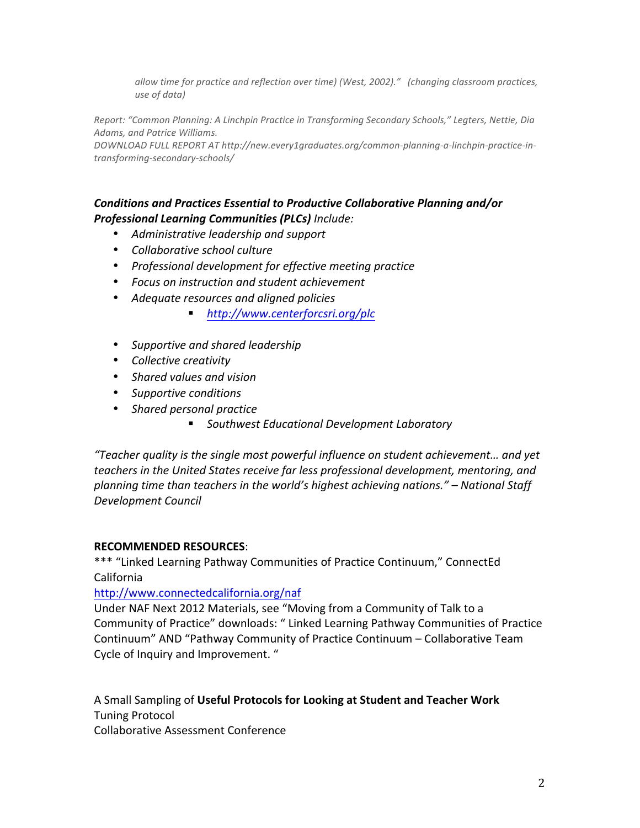allow time for practice and reflection over time) (West, 2002)." (changing classroom practices, *use of data*)

*Report:\$"Common\$Planning:\$A\$Linchpin\$Practice\$in\$Transforming\$Secondary Schools,"\$Legters,\$Nettie,\$Dia\$ Adams,\$and\$Patrice\$Williams.*

DOWNLOAD FULL REPORT AT http://new.every1graduates.org/common-planning-a-linchpin-practice-in $transforming-secondary-schools/$ 

# **Conditions and Practices Essential to Productive Collaborative Planning and/or Professional Learning Communities (PLCs)** Include:

- Administrative leadership and support
- Collaborative school culture
- Professional development for effective meeting practice
- **•** Focus on instruction and student achievement
- Adequate resources and aligned policies
	- *http://www.centerforcsri.org/plc*
- Supportive and shared leadership
- *Collective\$creativity*
- Shared values and vision
- *Supportive\$conditions*
- Shared personal practice
	- *Southwest\$Educational\$Development\$Laboratory*

*"Teacher\$quality\$is\$the\$single\$most\$powerful\$influence\$on\$student\$achievement…\$and\$yet\$* teachers in the United States receive far less professional development, mentoring, and *planning\$time\$than\$teachers\$in\$the\$world's\$highest\$achieving\$nations."\$– National\$Staff\$ Development\$Council\$*

# **RECOMMENDED RESOURCES:**

\*\*\* "Linked Learning Pathway Communities of Practice Continuum," ConnectEd California!

http://www.connectedcalifornia.org/naf

Under NAF Next 2012 Materials, see "Moving from a Community of Talk to a Community of Practice" downloads: " Linked Learning Pathway Communities of Practice Continuum" AND "Pathway Community of Practice Continuum – Collaborative Team Cycle of Inquiry and Improvement."

A Small Sampling of Useful Protocols for Looking at Student and Teacher Work **Tuning Protocol** 

Collaborative Assessment Conference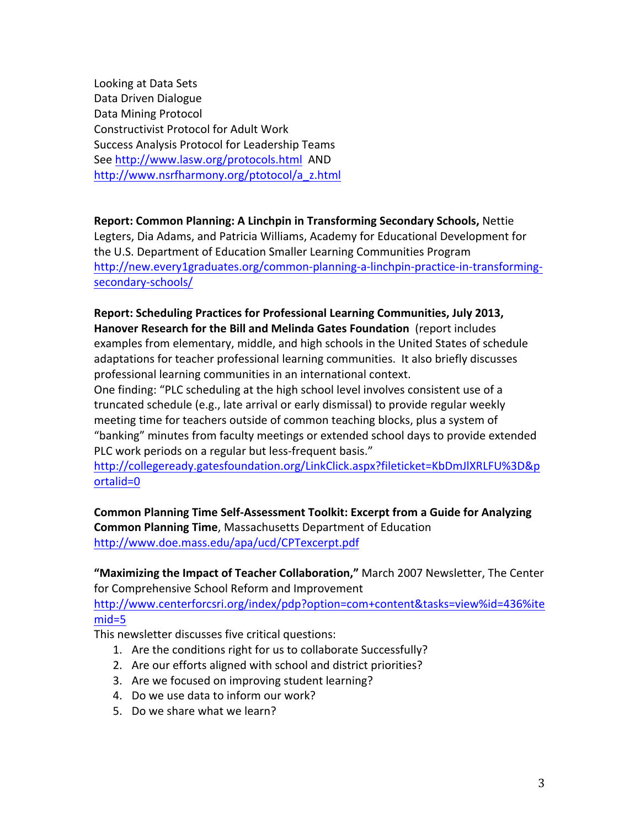Looking at Data Sets Data Driven Dialogue Data Mining Protocol Constructivist Protocol for Adult Work Success Analysis Protocol for Leadership Teams See http://www.lasw.org/protocols.html AND http://www.nsrfharmony.org/ptotocol/a\_z.html

**Report: Common Planning: A Linchpin in Transforming Secondary Schools, Nettie langless and Rettie Reports.** Legters, Dia Adams, and Patricia Williams, Academy for Educational Development for the U.S. Department of Education Smaller Learning Communities Program http://new.every1graduates.org/common-planning-a-linchpin-practice-in-transformingsecondary-schools/

Report: Scheduling Practices for Professional Learning Communities, July 2013, Hanover Research for the Bill and Melinda Gates Foundation (report includes examples from elementary, middle, and high schools in the United States of schedule adaptations for teacher professional learning communities. It also briefly discusses professional learning communities in an international context.

One finding: "PLC scheduling at the high school level involves consistent use of a truncated schedule (e.g., late arrival or early dismissal) to provide regular weekly meeting time for teachers outside of common teaching blocks, plus a system of "banking" minutes from faculty meetings or extended school days to provide extended PLC work periods on a regular but less-frequent basis."

http://collegeready.gatesfoundation.org/LinkClick.aspx?fileticket=KbDmJlXRLFU%3D&p ortalid=0

Common Planning Time Self-Assessment Toolkit: Excerpt from a Guide for Analyzing **Common Planning Time, Massachusetts Department of Education** http://www.doe.mass.edu/apa/ucd/CPTexcerpt.pdf!!

"Maximizing the Impact of Teacher Collaboration," March 2007 Newsletter, The Center for Comprehensive School Reform and Improvement http://www.centerforcsri.org/index/pdp?option=com+content&tasks=view%id=436%ite

mid=5

This newsletter discusses five critical questions:

- 1. Are the conditions right for us to collaborate Successfully?
- 2. Are our efforts aligned with school and district priorities?
- 3. Are we focused on improving student learning?
- 4. Do we use data to inform our work?
- 5. Do we share what we learn?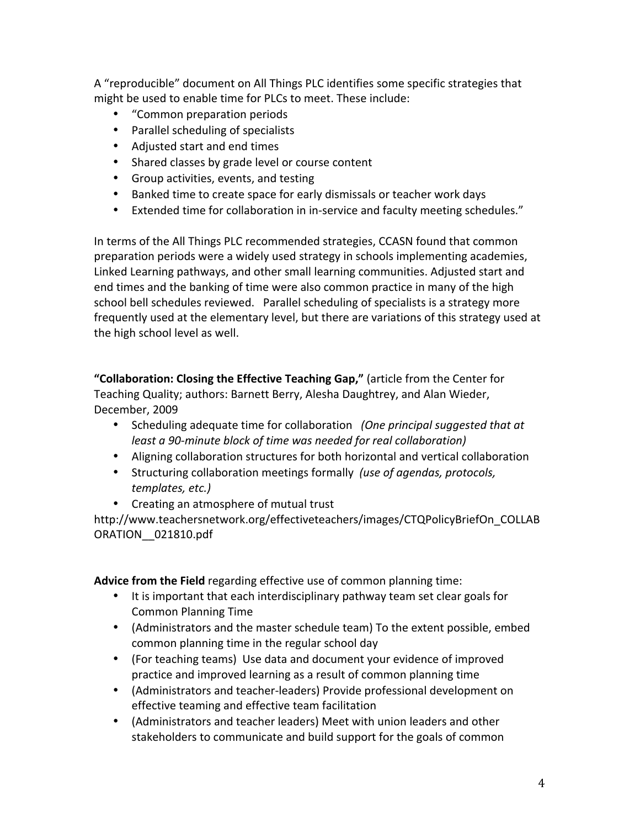A "reproducible" document on All Things PLC identifies some specific strategies that might be used to enable time for PLCs to meet. These include:

- "Common preparation periods
- Parallel scheduling of specialists
- Adjusted start and end times
- Shared classes by grade level or course content
- Group activities, events, and testing
- Banked time to create space for early dismissals or teacher work days
- Extended time for collaboration in in-service and faculty meeting schedules."

In terms of the All Things PLC recommended strategies, CCASN found that common preparation periods were a widely used strategy in schools implementing academies, Linked Learning pathways, and other small learning communities. Adjusted start and end times and the banking of time were also common practice in many of the high school bell schedules reviewed. Parallel scheduling of specialists is a strategy more frequently used at the elementary level, but there are variations of this strategy used at the high school level as well.

"Collaboration: Closing the Effective Teaching Gap," (article from the Center for Teaching Quality; authors: Barnett Berry, Alesha Daughtrey, and Alan Wieder, December, 2009

- Scheduling adequate time for collaboration (One principal suggested that at *least a 90-minute block of time was needed for real collaboration)*
- Aligning collaboration structures for both horizontal and vertical collaboration
- Structuring collaboration meetings formally *(use of agendas, protocols, templates,\$etc.)*
- Creating an atmosphere of mutual trust

http://www.teachersnetwork.org/effectiveteachers/images/CTQPolicyBriefOn\_COLLAB ORATION\_\_021810.pdf

Advice from the Field regarding effective use of common planning time:

- It is important that each interdisciplinary pathway team set clear goals for Common Planning Time
- (Administrators and the master schedule team) To the extent possible, embed common planning time in the regular school day
- (For teaching teams) Use data and document your evidence of improved practice and improved learning as a result of common planning time
- (Administrators and teacher-leaders) Provide professional development on effective teaming and effective team facilitation
- (Administrators and teacher leaders) Meet with union leaders and other stakeholders to communicate and build support for the goals of common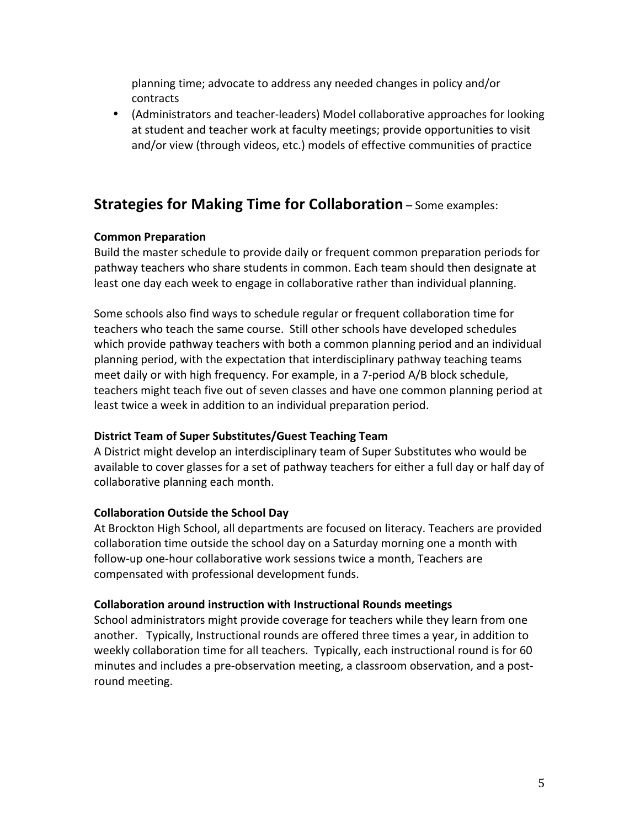planning time; advocate to address any needed changes in policy and/or contracts

• (Administrators and teacher-leaders) Model collaborative approaches for looking at student and teacher work at faculty meetings; provide opportunities to visit and/or view (through videos, etc.) models of effective communities of practice

# **Strategies for Making Time for Collaboration** – Some examples:

# **Common Preparation**

Build the master schedule to provide daily or frequent common preparation periods for pathway teachers who share students in common. Each team should then designate at least one day each week to engage in collaborative rather than individual planning.

Some schools also find ways to schedule regular or frequent collaboration time for teachers who teach the same course. Still other schools have developed schedules which provide pathway teachers with both a common planning period and an individual planning period, with the expectation that interdisciplinary pathway teaching teams meet daily or with high frequency. For example, in a 7-period A/B block schedule, teachers might teach five out of seven classes and have one common planning period at least twice a week in addition to an individual preparation period.

# **District Team of Super Substitutes/Guest Teaching Team**

A District might develop an interdisciplinary team of Super Substitutes who would be available to cover glasses for a set of pathway teachers for either a full day or half day of collaborative planning each month.

# **Collaboration Outside the School Day**

At Brockton High School, all departments are focused on literacy. Teachers are provided collaboration time outside the school day on a Saturday morning one a month with follow-up one-hour collaborative work sessions twice a month, Teachers are compensated with professional development funds.

# **Collaboration around instruction with Instructional Rounds meetings**

School administrators might provide coverage for teachers while they learn from one another. Typically, Instructional rounds are offered three times a year, in addition to weekly collaboration time for all teachers. Typically, each instructional round is for 60 minutes and includes a pre-observation meeting, a classroom observation, and a postround meeting.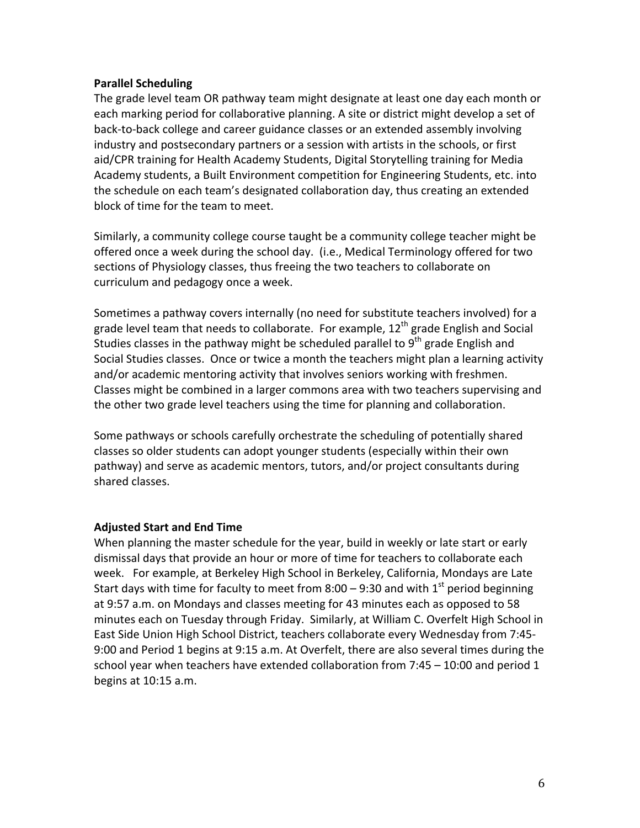#### **Parallel Scheduling**

The grade level team OR pathway team might designate at least one day each month or each marking period for collaborative planning. A site or district might develop a set of back-to-back college and career guidance classes or an extended assembly involving industry and postsecondary partners or a session with artists in the schools, or first aid/CPR training for Health Academy Students, Digital Storytelling training for Media Academy students, a Built Environment competition for Engineering Students, etc. into the schedule on each team's designated collaboration day, thus creating an extended block of time for the team to meet.

Similarly, a community college course taught be a community college teacher might be offered once a week during the school day. (i.e., Medical Terminology offered for two sections of Physiology classes, thus freeing the two teachers to collaborate on curriculum and pedagogy once a week.

Sometimes a pathway covers internally (no need for substitute teachers involved) for a grade level team that needs to collaborate. For example,  $12<sup>th</sup>$  grade English and Social Studies classes in the pathway might be scheduled parallel to  $9<sup>th</sup>$  grade English and Social Studies classes. Once or twice a month the teachers might plan a learning activity and/or academic mentoring activity that involves seniors working with freshmen. Classes might be combined in a larger commons area with two teachers supervising and the other two grade level teachers using the time for planning and collaboration.

Some pathways or schools carefully orchestrate the scheduling of potentially shared classes so older students can adopt younger students (especially within their own pathway) and serve as academic mentors, tutors, and/or project consultants during shared classes.

### **Adjusted Start and End Time**

When planning the master schedule for the year, build in weekly or late start or early dismissal days that provide an hour or more of time for teachers to collaborate each week. For example, at Berkeley High School in Berkeley, California, Mondays are Late Start days with time for faculty to meet from 8:00 – 9:30 and with  $1<sup>st</sup>$  period beginning at 9:57 a.m. on Mondays and classes meeting for 43 minutes each as opposed to 58 minutes each on Tuesday through Friday. Similarly, at William C. Overfelt High School in East Side Union High School District, teachers collaborate every Wednesday from 7:45-9:00 and Period 1 begins at 9:15 a.m. At Overfelt, there are also several times during the school year when teachers have extended collaboration from 7:45  $-$  10:00 and period 1 begins at 10:15 a.m.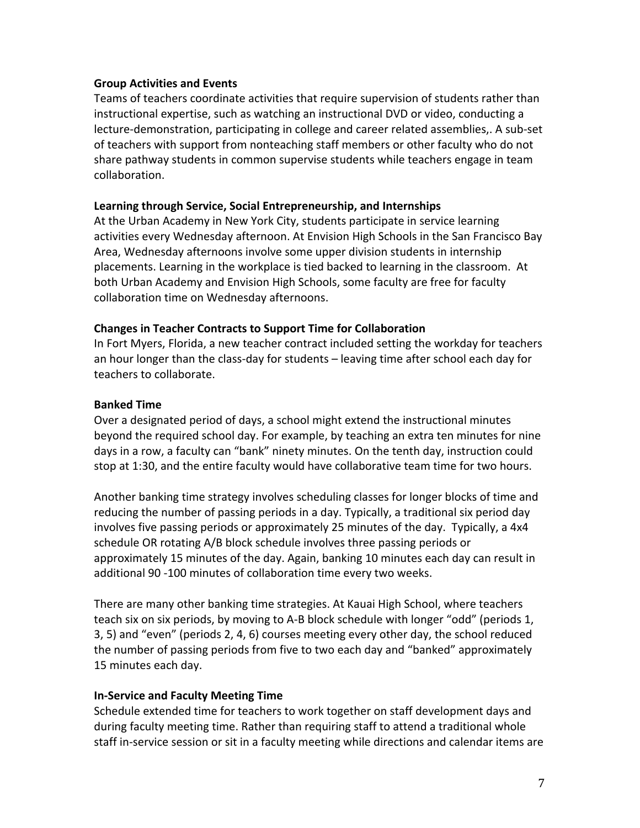### **Group Activities and Events**

Teams of teachers coordinate activities that require supervision of students rather than instructional expertise, such as watching an instructional DVD or video, conducting a lecture-demonstration, participating in college and career related assemblies,. A sub-set of teachers with support from nonteaching staff members or other faculty who do not share pathway students in common supervise students while teachers engage in team collaboration.!

### Learning through Service, Social Entrepreneurship, and Internships

At the Urban Academy in New York City, students participate in service learning activities every Wednesday afternoon. At Envision High Schools in the San Francisco Bay Area, Wednesday afternoons involve some upper division students in internship placements. Learning in the workplace is tied backed to learning in the classroom. At both Urban Academy and Envision High Schools, some faculty are free for faculty collaboration time on Wednesday afternoons.

## **Changes in Teacher Contracts to Support Time for Collaboration**

In Fort Myers, Florida, a new teacher contract included setting the workday for teachers an hour longer than the class-day for students – leaving time after school each day for teachers to collaborate.

## **Banked Time**

Over a designated period of days, a school might extend the instructional minutes beyond the required school day. For example, by teaching an extra ten minutes for nine days in a row, a faculty can "bank" ninety minutes. On the tenth day, instruction could stop at 1:30, and the entire faculty would have collaborative team time for two hours.

Another banking time strategy involves scheduling classes for longer blocks of time and reducing the number of passing periods in a day. Typically, a traditional six period day involves five passing periods or approximately 25 minutes of the day. Typically, a 4x4 schedule OR rotating A/B block schedule involves three passing periods or approximately 15 minutes of the day. Again, banking 10 minutes each day can result in additional 90 -100 minutes of collaboration time every two weeks.

There are many other banking time strategies. At Kauai High School, where teachers teach six on six periods, by moving to A-B block schedule with longer "odd" (periods 1, 3, 5) and "even" (periods 2, 4, 6) courses meeting every other day, the school reduced the number of passing periods from five to two each day and "banked" approximately 15 minutes each day.

# **In-Service and Faculty Meeting Time**

Schedule extended time for teachers to work together on staff development days and during faculty meeting time. Rather than requiring staff to attend a traditional whole staff in-service session or sit in a faculty meeting while directions and calendar items are